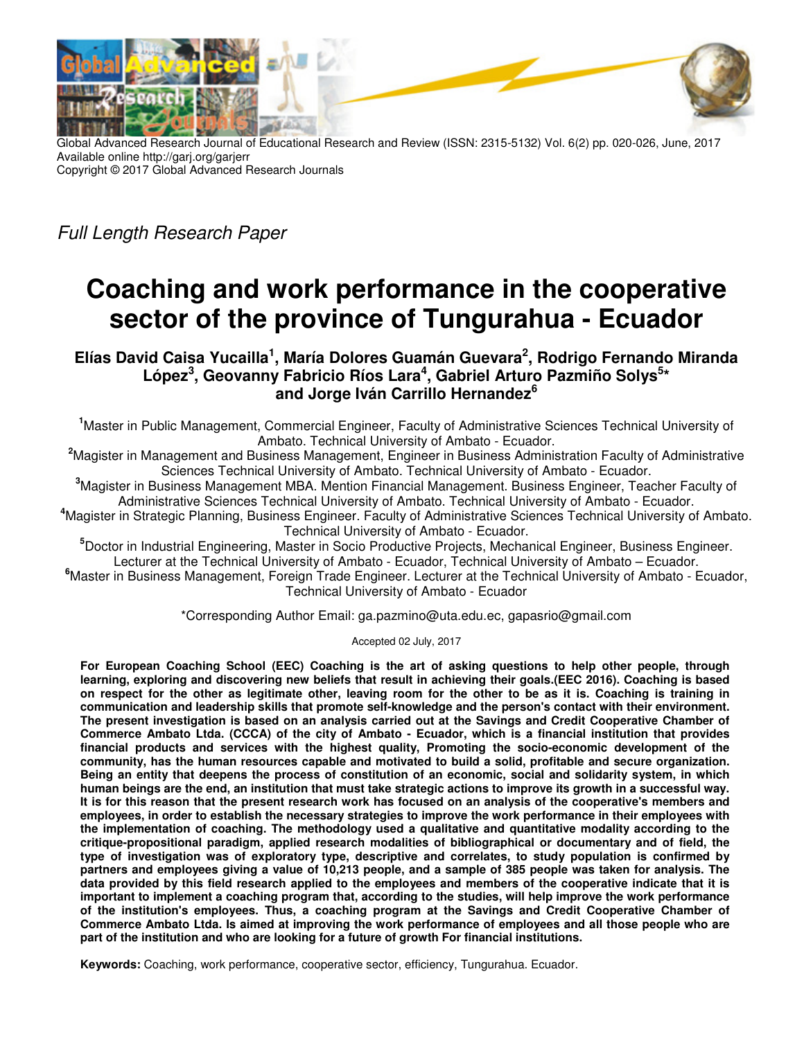

Global Advanced Research Journal of Educational Research and Review (ISSN: 2315-5132) Vol. 6(2) pp. 020-026, June, 2017 Available online http://garj.org/garjerr Copyright © 2017 Global Advanced Research Journals

Full Length Research Paper

# **Coaching and work performance in the cooperative sector of the province of Tungurahua - Ecuador**

**Elías David Caisa Yucailla<sup>1</sup> , María Dolores Guamán Guevara<sup>2</sup> , Rodrigo Fernando Miranda**  López<sup>3</sup>, Geovanny Fabricio Ríos Lara<sup>4</sup>, Gabriel Arturo Pazmiño Solys<sup>5\*</sup> **and Jorge Iván Carrillo Hernandez<sup>6</sup>**

**<sup>1</sup>**Master in Public Management, Commercial Engineer, Faculty of Administrative Sciences Technical University of Ambato. Technical University of Ambato - Ecuador.

**<sup>2</sup>**Magister in Management and Business Management, Engineer in Business Administration Faculty of Administrative Sciences Technical University of Ambato. Technical University of Ambato - Ecuador.

**<sup>3</sup>**Magister in Business Management MBA. Mention Financial Management. Business Engineer, Teacher Faculty of Administrative Sciences Technical University of Ambato. Technical University of Ambato - Ecuador.

**<sup>4</sup>**Magister in Strategic Planning, Business Engineer. Faculty of Administrative Sciences Technical University of Ambato. Technical University of Ambato - Ecuador.

**<sup>5</sup>**Doctor in Industrial Engineering, Master in Socio Productive Projects, Mechanical Engineer, Business Engineer. Lecturer at the Technical University of Ambato - Ecuador, Technical University of Ambato – Ecuador.

**<sup>6</sup>**Master in Business Management, Foreign Trade Engineer. Lecturer at the Technical University of Ambato - Ecuador, Technical University of Ambato - Ecuador

\*Corresponding Author Email: ga.pazmino@uta.edu.ec, gapasrio@gmail.com

Accepted 02 July, 2017

**For European Coaching School (EEC) Coaching is the art of asking questions to help other people, through learning, exploring and discovering new beliefs that result in achieving their goals.(EEC 2016). Coaching is based on respect for the other as legitimate other, leaving room for the other to be as it is. Coaching is training in communication and leadership skills that promote self-knowledge and the person's contact with their environment. The present investigation is based on an analysis carried out at the Savings and Credit Cooperative Chamber of Commerce Ambato Ltda. (CCCA) of the city of Ambato - Ecuador, which is a financial institution that provides financial products and services with the highest quality, Promoting the socio-economic development of the community, has the human resources capable and motivated to build a solid, profitable and secure organization. Being an entity that deepens the process of constitution of an economic, social and solidarity system, in which human beings are the end, an institution that must take strategic actions to improve its growth in a successful way. It is for this reason that the present research work has focused on an analysis of the cooperative's members and employees, in order to establish the necessary strategies to improve the work performance in their employees with the implementation of coaching. The methodology used a qualitative and quantitative modality according to the critique-propositional paradigm, applied research modalities of bibliographical or documentary and of field, the type of investigation was of exploratory type, descriptive and correlates, to study population is confirmed by partners and employees giving a value of 10,213 people, and a sample of 385 people was taken for analysis. The data provided by this field research applied to the employees and members of the cooperative indicate that it is important to implement a coaching program that, according to the studies, will help improve the work performance of the institution's employees. Thus, a coaching program at the Savings and Credit Cooperative Chamber of Commerce Ambato Ltda. Is aimed at improving the work performance of employees and all those people who are part of the institution and who are looking for a future of growth For financial institutions.** 

**Keywords:** Coaching, work performance, cooperative sector, efficiency, Tungurahua. Ecuador.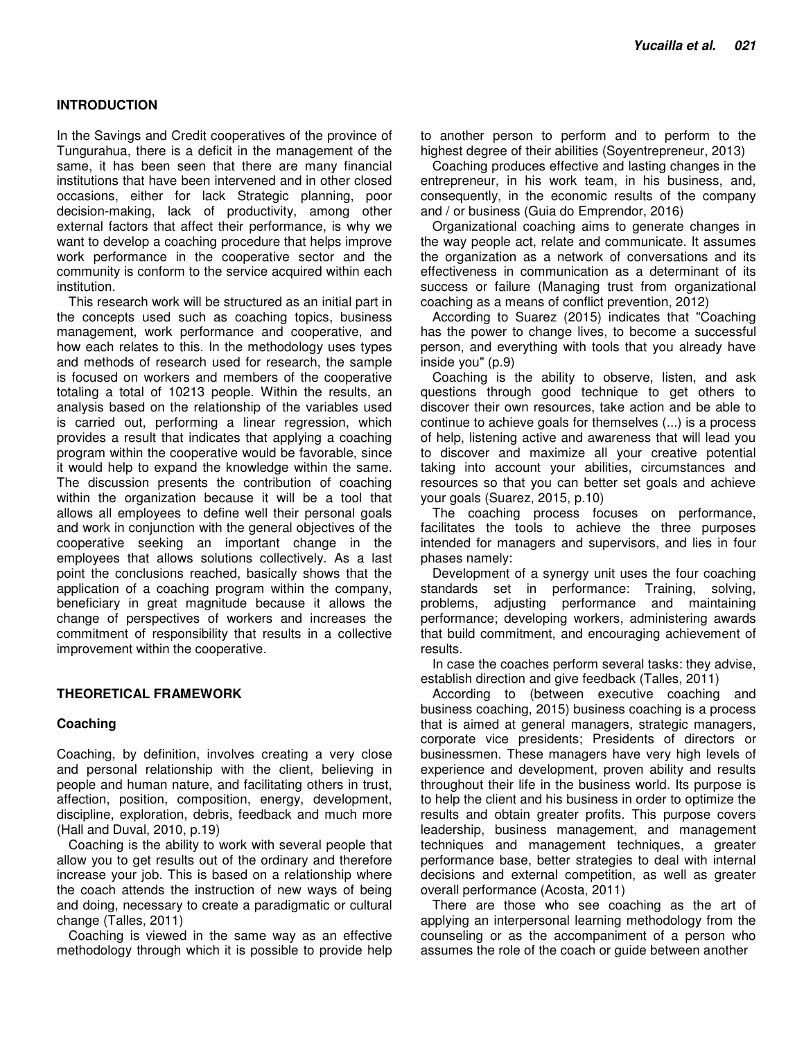# **INTRODUCTION**

In the Savings and Credit cooperatives of the province of Tungurahua, there is a deficit in the management of the same, it has been seen that there are many financial institutions that have been intervened and in other closed occasions, either for lack Strategic planning, poor decision-making, lack of productivity, among other external factors that affect their performance, is why we want to develop a coaching procedure that helps improve work performance in the cooperative sector and the community is conform to the service acquired within each institution.

This research work will be structured as an initial part in the concepts used such as coaching topics, business management, work performance and cooperative, and how each relates to this. In the methodology uses types and methods of research used for research, the sample is focused on workers and members of the cooperative totaling a total of 10213 people. Within the results, an analysis based on the relationship of the variables used is carried out, performing a linear regression, which provides a result that indicates that applying a coaching program within the cooperative would be favorable, since it would help to expand the knowledge within the same. The discussion presents the contribution of coaching within the organization because it will be a tool that allows all employees to define well their personal goals and work in conjunction with the general objectives of the cooperative seeking an important change in the employees that allows solutions collectively. As a last point the conclusions reached, basically shows that the application of a coaching program within the company, beneficiary in great magnitude because it allows the change of perspectives of workers and increases the commitment of responsibility that results in a collective improvement within the cooperative.

# **THEORETICAL FRAMEWORK**

#### **Coaching**

Coaching, by definition, involves creating a very close and personal relationship with the client, believing in people and human nature, and facilitating others in trust, affection, position, composition, energy, development, discipline, exploration, debris, feedback and much more (Hall and Duval, 2010, p.19)

Coaching is the ability to work with several people that allow you to get results out of the ordinary and therefore increase your job. This is based on a relationship where the coach attends the instruction of new ways of being and doing, necessary to create a paradigmatic or cultural change (Talles, 2011)

Coaching is viewed in the same way as an effective methodology through which it is possible to provide help to another person to perform and to perform to the highest degree of their abilities (Soyentrepreneur, 2013)

Coaching produces effective and lasting changes in the entrepreneur, in his work team, in his business, and, consequently, in the economic results of the company and / or business (Guia do Emprendor, 2016)

Organizational coaching aims to generate changes in the way people act, relate and communicate. It assumes the organization as a network of conversations and its effectiveness in communication as a determinant of its success or failure (Managing trust from organizational coaching as a means of conflict prevention, 2012)

According to Suarez (2015) indicates that "Coaching has the power to change lives, to become a successful person, and everything with tools that you already have inside you" (p.9)

Coaching is the ability to observe, listen, and ask questions through good technique to get others to discover their own resources, take action and be able to continue to achieve goals for themselves (...) is a process of help, listening active and awareness that will lead you to discover and maximize all your creative potential taking into account your abilities, circumstances and resources so that you can better set goals and achieve your goals (Suarez, 2015, p.10)

The coaching process focuses on performance, facilitates the tools to achieve the three purposes intended for managers and supervisors, and lies in four phases namely:

Development of a synergy unit uses the four coaching standards set in performance: Training, solving, problems, adjusting performance and maintaining performance; developing workers, administering awards that build commitment, and encouraging achievement of results.

In case the coaches perform several tasks: they advise, establish direction and give feedback (Talles, 2011)

According to (between executive coaching and business coaching, 2015) business coaching is a process that is aimed at general managers, strategic managers, corporate vice presidents; Presidents of directors or businessmen. These managers have very high levels of experience and development, proven ability and results throughout their life in the business world. Its purpose is to help the client and his business in order to optimize the results and obtain greater profits. This purpose covers leadership, business management, and management techniques and management techniques, a greater performance base, better strategies to deal with internal decisions and external competition, as well as greater overall performance (Acosta, 2011)

There are those who see coaching as the art of applying an interpersonal learning methodology from the counseling or as the accompaniment of a person who assumes the role of the coach or guide between another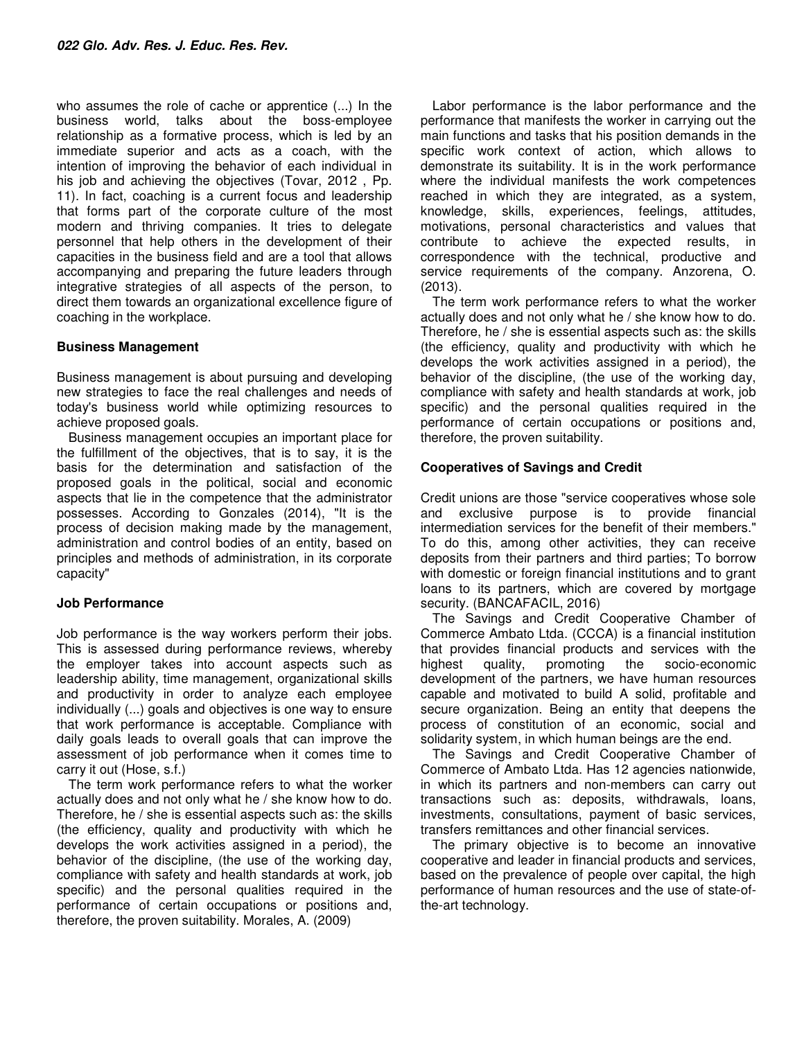who assumes the role of cache or apprentice (...) In the business world, talks about the boss-employee relationship as a formative process, which is led by an immediate superior and acts as a coach, with the intention of improving the behavior of each individual in his job and achieving the objectives (Tovar, 2012 , Pp. 11). In fact, coaching is a current focus and leadership that forms part of the corporate culture of the most modern and thriving companies. It tries to delegate personnel that help others in the development of their capacities in the business field and are a tool that allows accompanying and preparing the future leaders through integrative strategies of all aspects of the person, to direct them towards an organizational excellence figure of coaching in the workplace.

# **Business Management**

Business management is about pursuing and developing new strategies to face the real challenges and needs of today's business world while optimizing resources to achieve proposed goals.

Business management occupies an important place for the fulfillment of the objectives, that is to say, it is the basis for the determination and satisfaction of the proposed goals in the political, social and economic aspects that lie in the competence that the administrator possesses. According to Gonzales (2014), "It is the process of decision making made by the management, administration and control bodies of an entity, based on principles and methods of administration, in its corporate capacity"

# **Job Performance**

Job performance is the way workers perform their jobs. This is assessed during performance reviews, whereby the employer takes into account aspects such as leadership ability, time management, organizational skills and productivity in order to analyze each employee individually (...) goals and objectives is one way to ensure that work performance is acceptable. Compliance with daily goals leads to overall goals that can improve the assessment of job performance when it comes time to carry it out (Hose, s.f.)

The term work performance refers to what the worker actually does and not only what he / she know how to do. Therefore, he / she is essential aspects such as: the skills (the efficiency, quality and productivity with which he develops the work activities assigned in a period), the behavior of the discipline, (the use of the working day, compliance with safety and health standards at work, job specific) and the personal qualities required in the performance of certain occupations or positions and, therefore, the proven suitability. Morales, A. (2009)

Labor performance is the labor performance and the performance that manifests the worker in carrying out the main functions and tasks that his position demands in the specific work context of action, which allows to demonstrate its suitability. It is in the work performance where the individual manifests the work competences reached in which they are integrated, as a system, knowledge, skills, experiences, feelings, attitudes, motivations, personal characteristics and values that contribute to achieve the expected results, in correspondence with the technical, productive and service requirements of the company. Anzorena, O. (2013).

The term work performance refers to what the worker actually does and not only what he / she know how to do. Therefore, he / she is essential aspects such as: the skills (the efficiency, quality and productivity with which he develops the work activities assigned in a period), the behavior of the discipline, (the use of the working day, compliance with safety and health standards at work, job specific) and the personal qualities required in the performance of certain occupations or positions and, therefore, the proven suitability.

# **Cooperatives of Savings and Credit**

Credit unions are those "service cooperatives whose sole and exclusive purpose is to provide financial intermediation services for the benefit of their members." To do this, among other activities, they can receive deposits from their partners and third parties; To borrow with domestic or foreign financial institutions and to grant loans to its partners, which are covered by mortgage security. (BANCAFACIL, 2016)

The Savings and Credit Cooperative Chamber of Commerce Ambato Ltda. (CCCA) is a financial institution that provides financial products and services with the highest quality, promoting the socio-economic development of the partners, we have human resources capable and motivated to build A solid, profitable and secure organization. Being an entity that deepens the process of constitution of an economic, social and solidarity system, in which human beings are the end.

The Savings and Credit Cooperative Chamber of Commerce of Ambato Ltda. Has 12 agencies nationwide, in which its partners and non-members can carry out transactions such as: deposits, withdrawals, loans, investments, consultations, payment of basic services, transfers remittances and other financial services.

The primary objective is to become an innovative cooperative and leader in financial products and services, based on the prevalence of people over capital, the high performance of human resources and the use of state-ofthe-art technology.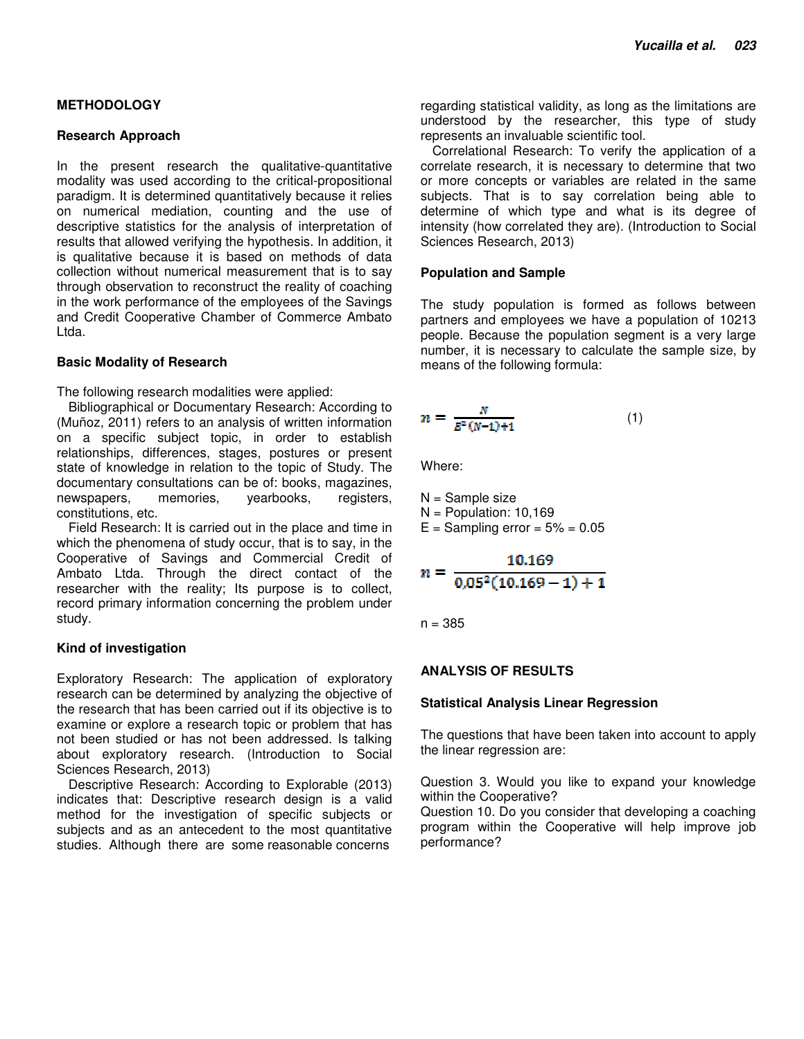# **METHODOLOGY**

### **Research Approach**

In the present research the qualitative-quantitative modality was used according to the critical-propositional paradigm. It is determined quantitatively because it relies on numerical mediation, counting and the use of descriptive statistics for the analysis of interpretation of results that allowed verifying the hypothesis. In addition, it is qualitative because it is based on methods of data collection without numerical measurement that is to say through observation to reconstruct the reality of coaching in the work performance of the employees of the Savings and Credit Cooperative Chamber of Commerce Ambato Ltda.

# **Basic Modality of Research**

The following research modalities were applied:

Bibliographical or Documentary Research: According to (Muñoz, 2011) refers to an analysis of written information on a specific subject topic, in order to establish relationships, differences, stages, postures or present state of knowledge in relation to the topic of Study. The documentary consultations can be of: books, magazines, newspapers, memories, yearbooks, registers, constitutions, etc.

Field Research: It is carried out in the place and time in which the phenomena of study occur, that is to say, in the Cooperative of Savings and Commercial Credit of Ambato Ltda. Through the direct contact of the researcher with the reality; Its purpose is to collect, record primary information concerning the problem under study.

# **Kind of investigation**

Exploratory Research: The application of exploratory research can be determined by analyzing the objective of the research that has been carried out if its objective is to examine or explore a research topic or problem that has not been studied or has not been addressed. Is talking about exploratory research. (Introduction to Social Sciences Research, 2013)

Descriptive Research: According to Explorable (2013) indicates that: Descriptive research design is a valid method for the investigation of specific subjects or subjects and as an antecedent to the most quantitative studies. Although there are some reasonable concerns

regarding statistical validity, as long as the limitations are understood by the researcher, this type of study represents an invaluable scientific tool.

Correlational Research: To verify the application of a correlate research, it is necessary to determine that two or more concepts or variables are related in the same subjects. That is to say correlation being able to determine of which type and what is its degree of intensity (how correlated they are). (Introduction to Social Sciences Research, 2013)

### **Population and Sample**

The study population is formed as follows between partners and employees we have a population of 10213 people. Because the population segment is a very large number, it is necessary to calculate the sample size, by means of the following formula:

$$
n = \frac{N}{E^2(N-1)+1}
$$
 (1)

Where:

N = Sample size  $N =$  Population: 10.169

 $E =$  Sampling error =  $5\% = 0.05$ 

$$
n = \frac{10.169}{0.05^2(10.169 - 1) + 1}
$$

 $n = 385$ 

#### **ANALYSIS OF RESULTS**

#### **Statistical Analysis Linear Regression**

The questions that have been taken into account to apply the linear regression are:

Question 3. Would you like to expand your knowledge within the Cooperative?

Question 10. Do you consider that developing a coaching program within the Cooperative will help improve job performance?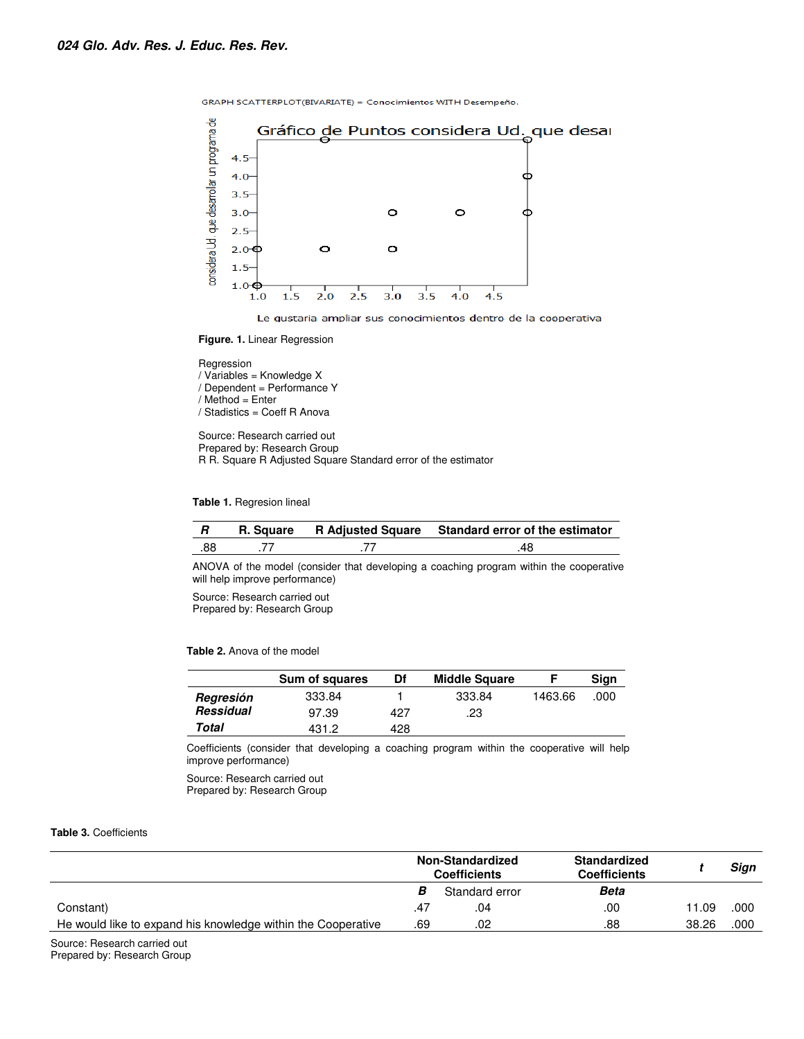





 $1.0$ 

#### Regression

/ Variables = Knowledge X

/ Dependent = Performance Y

/ Method = Enter

/ Stadistics = Coeff R Anova

Source: Research carried out Prepared by: Research Group R R. Square R Adjusted Square Standard error of the estimator

**Table 1.** Regresion lineal

|     |  | R. Square R Adjusted Square Standard error of the estimator |
|-----|--|-------------------------------------------------------------|
| .88 |  | 48                                                          |

ANOVA of the model (consider that developing a coaching program within the cooperative will help improve performance)

Source: Research carried out Prepared by: Research Group

#### **Table 2.** Anova of the model

|                  | Sum of squares | Df  | <b>Middle Square</b> |         | Sign |
|------------------|----------------|-----|----------------------|---------|------|
| Regresión        | 333.84         |     | 333.84               | 1463.66 | .000 |
| <b>Ressidual</b> | 97.39          | 427 | .23                  |         |      |
| Total            | 431.2          | 428 |                      |         |      |

Coefficients (consider that developing a coaching program within the cooperative will help improve performance)

Source: Research carried out Prepared by: Research Group

#### **Table 3.** Coefficients

|                                                              | <b>Non-Standardized</b><br><b>Coefficients</b> |                | Standardized<br><b>Coefficients</b> |       | Sign |
|--------------------------------------------------------------|------------------------------------------------|----------------|-------------------------------------|-------|------|
|                                                              |                                                | Standard error | Beta                                |       |      |
| Constant)                                                    | .47                                            | .04            | .00                                 | 11.09 | .000 |
| He would like to expand his knowledge within the Cooperative |                                                | .02            | .88                                 | 38.26 | .000 |

Source: Research carried out Prepared by: Research Group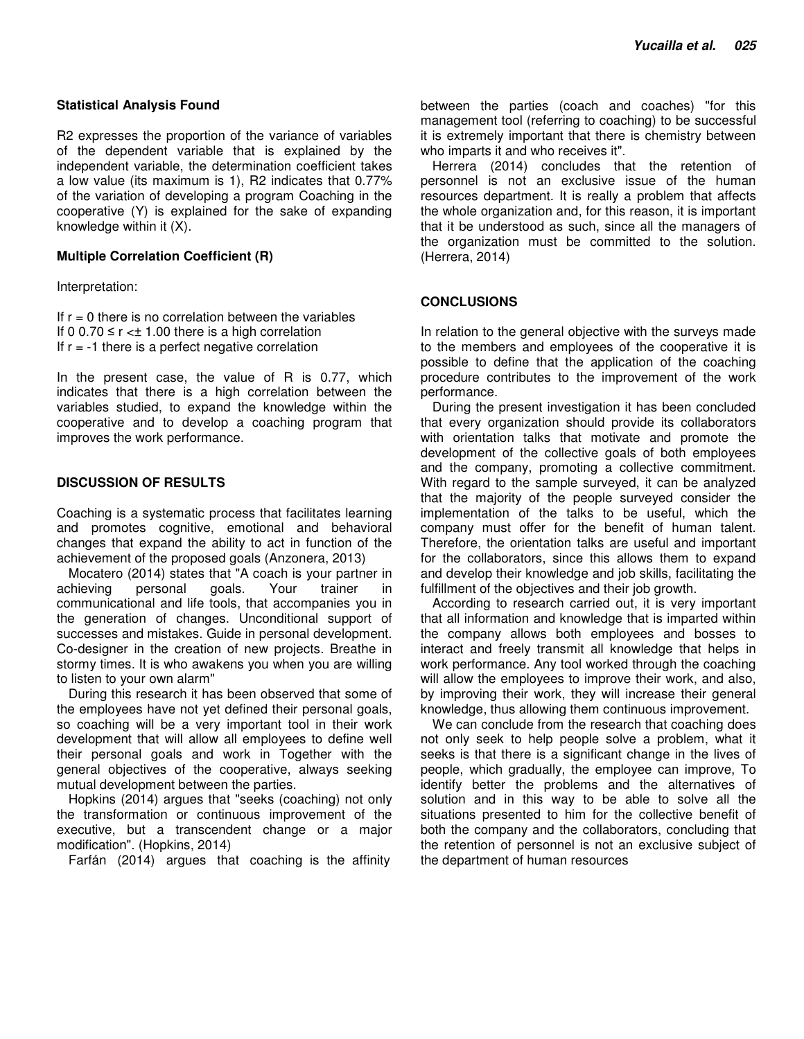### **Statistical Analysis Found**

R2 expresses the proportion of the variance of variables of the dependent variable that is explained by the independent variable, the determination coefficient takes a low value (its maximum is 1), R2 indicates that 0.77% of the variation of developing a program Coaching in the cooperative (Y) is explained for the sake of expanding knowledge within it (X).

# **Multiple Correlation Coefficient (R)**

Interpretation:

If  $r = 0$  there is no correlation between the variables If 0 0.70  $\leq$  r  $\lt\pm$  1.00 there is a high correlation If  $r = -1$  there is a perfect negative correlation

In the present case, the value of R is 0.77, which indicates that there is a high correlation between the variables studied, to expand the knowledge within the cooperative and to develop a coaching program that improves the work performance.

# **DISCUSSION OF RESULTS**

Coaching is a systematic process that facilitates learning and promotes cognitive, emotional and behavioral changes that expand the ability to act in function of the achievement of the proposed goals (Anzonera, 2013)

Mocatero (2014) states that "A coach is your partner in achieving personal goals. Your trainer in communicational and life tools, that accompanies you in the generation of changes. Unconditional support of successes and mistakes. Guide in personal development. Co-designer in the creation of new projects. Breathe in stormy times. It is who awakens you when you are willing to listen to your own alarm"

During this research it has been observed that some of the employees have not yet defined their personal goals, so coaching will be a very important tool in their work development that will allow all employees to define well their personal goals and work in Together with the general objectives of the cooperative, always seeking mutual development between the parties.

Hopkins (2014) argues that "seeks (coaching) not only the transformation or continuous improvement of the executive, but a transcendent change or a major modification". (Hopkins, 2014)

Farfán (2014) argues that coaching is the affinity

between the parties (coach and coaches) "for this management tool (referring to coaching) to be successful it is extremely important that there is chemistry between who imparts it and who receives it".

Herrera (2014) concludes that the retention of personnel is not an exclusive issue of the human resources department. It is really a problem that affects the whole organization and, for this reason, it is important that it be understood as such, since all the managers of the organization must be committed to the solution. (Herrera, 2014)

# **CONCLUSIONS**

In relation to the general objective with the surveys made to the members and employees of the cooperative it is possible to define that the application of the coaching procedure contributes to the improvement of the work performance.

During the present investigation it has been concluded that every organization should provide its collaborators with orientation talks that motivate and promote the development of the collective goals of both employees and the company, promoting a collective commitment. With regard to the sample surveyed, it can be analyzed that the majority of the people surveyed consider the implementation of the talks to be useful, which the company must offer for the benefit of human talent. Therefore, the orientation talks are useful and important for the collaborators, since this allows them to expand and develop their knowledge and job skills, facilitating the fulfillment of the objectives and their job growth.

According to research carried out, it is very important that all information and knowledge that is imparted within the company allows both employees and bosses to interact and freely transmit all knowledge that helps in work performance. Any tool worked through the coaching will allow the employees to improve their work, and also, by improving their work, they will increase their general knowledge, thus allowing them continuous improvement.

We can conclude from the research that coaching does not only seek to help people solve a problem, what it seeks is that there is a significant change in the lives of people, which gradually, the employee can improve, To identify better the problems and the alternatives of solution and in this way to be able to solve all the situations presented to him for the collective benefit of both the company and the collaborators, concluding that the retention of personnel is not an exclusive subject of the department of human resources